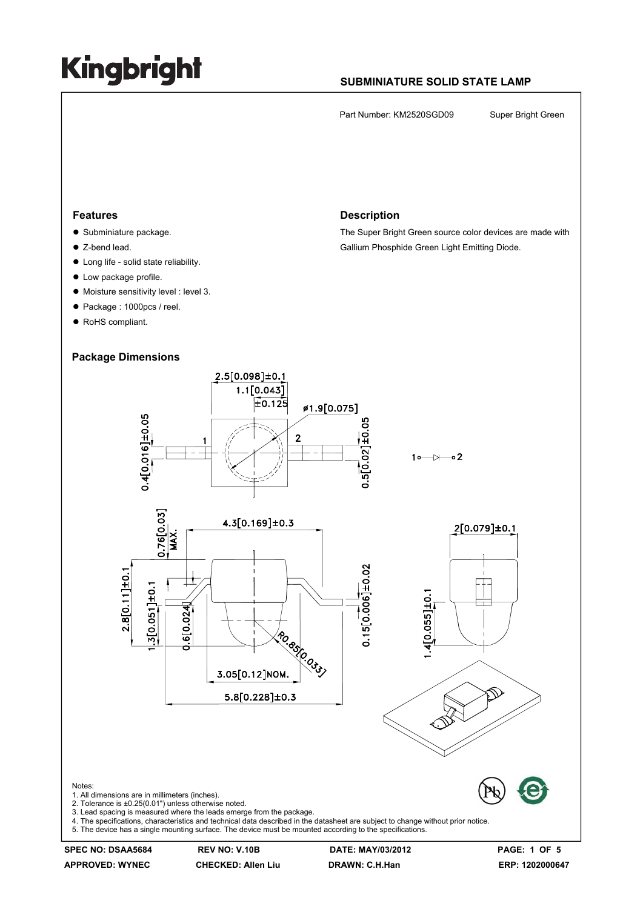### **SUBMINIATURE SOLID STATE LAMP**

Part Number: KM2520SGD09 Super Bright Green

#### **Features**

- $\bullet$  Subminiature package.
- Z-bend lead.
- $\bullet$  Long life solid state reliability.
- $\bullet$  Low package profile.
- $\bullet$  Moisture sensitivity level : level 3.
- Package : 1000pcs / reel.
- RoHS compliant.

#### **Package Dimensions**

#### **Description**

The Super Bright Green source color devices are made with Gallium Phosphide Green Light Emitting Diode.



**APPROVED: WYNEC CHECKED: Allen Liu DRAWN: C.H.Han ERP: 1202000647** 

**SPEC NO: DSAA5684 REV NO: V.10B DATE: MAY/03/2012 PAGE: 1 OF 5**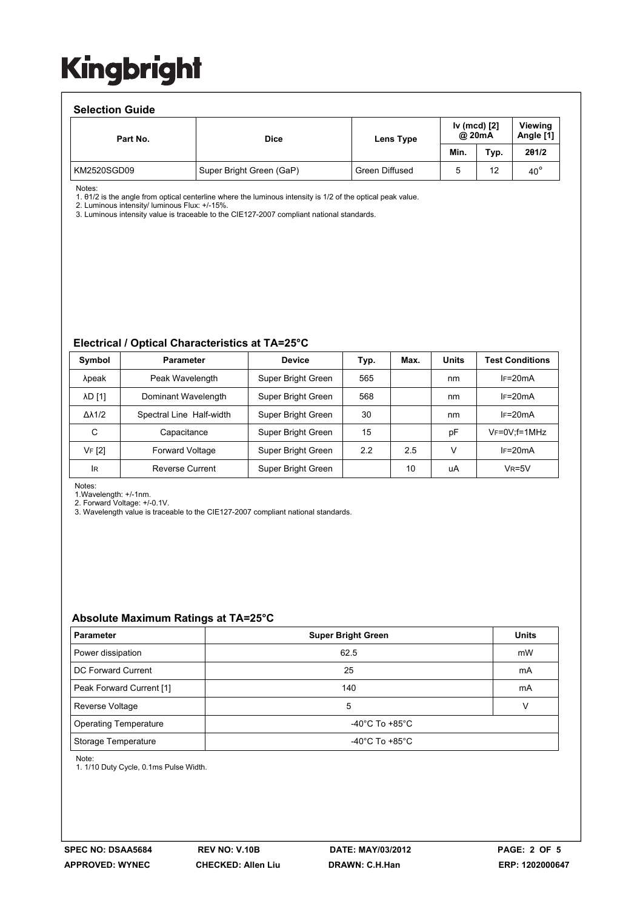#### **Selection Guide**

| 9919981911 <b>9</b> 9199 |                                                    |                |      |                             |              |  |  |  |  |  |
|--------------------------|----------------------------------------------------|----------------|------|-----------------------------|--------------|--|--|--|--|--|
| Part No.                 | Iv (mcd) [2]<br>@ 20mA<br><b>Dice</b><br>Lens Type |                |      | <b>Viewing</b><br>Angle [1] |              |  |  |  |  |  |
|                          |                                                    |                | Min. | Typ.                        | 201/2        |  |  |  |  |  |
| KM2520SGD09              | Super Bright Green (GaP)                           | Green Diffused |      | 12                          | $40^{\circ}$ |  |  |  |  |  |

Notes:

1. θ1/2 is the angle from optical centerline where the luminous intensity is 1/2 of the optical peak value.

2. Luminous intensity/ luminous Flux: +/-15%.

3. Luminous intensity value is traceable to the CIE127-2007 compliant national standards.

#### **Electrical / Optical Characteristics at TA=25°C**

| Symbol              | <b>Parameter</b>         | <b>Device</b>      | Typ. | Max. | <b>Units</b> | <b>Test Conditions</b> |
|---------------------|--------------------------|--------------------|------|------|--------------|------------------------|
| λpeak               | Peak Wavelength          | Super Bright Green | 565  |      | nm           | $IF=20mA$              |
| <b>AD [1]</b>       | Dominant Wavelength      | Super Bright Green | 568  |      | nm           | $IF=20mA$              |
| $\Delta\lambda$ 1/2 | Spectral Line Half-width | Super Bright Green | 30   |      | nm           | $IF=20mA$              |
| C                   | Capacitance              | Super Bright Green | 15   |      | рF           | $V_F = 0V$ : f = 1MHz  |
| VF [2]              | <b>Forward Voltage</b>   | Super Bright Green | 2.2  | 2.5  | V            | $IF=20mA$              |
| <b>IR</b>           | Reverse Current          | Super Bright Green |      | 10   | uA           | $V_R = 5V$             |

Notes:

1.Wavelength: +/-1nm.

2. Forward Voltage: +/-0.1V.

3. Wavelength value is traceable to the CIE127-2007 compliant national standards.

#### **Absolute Maximum Ratings at TA=25°C**

| <b>Parameter</b>             | <b>Super Bright Green</b>            | <b>Units</b> |  |
|------------------------------|--------------------------------------|--------------|--|
| Power dissipation            | 62.5                                 | mW           |  |
| DC Forward Current           | 25                                   | mA           |  |
| Peak Forward Current [1]     | 140                                  | mA           |  |
| Reverse Voltage              | 5                                    |              |  |
| <b>Operating Temperature</b> | -40°C To +85°C                       |              |  |
| Storage Temperature          | -40 $^{\circ}$ C To +85 $^{\circ}$ C |              |  |

Note:

1. 1/10 Duty Cycle, 0.1ms Pulse Width.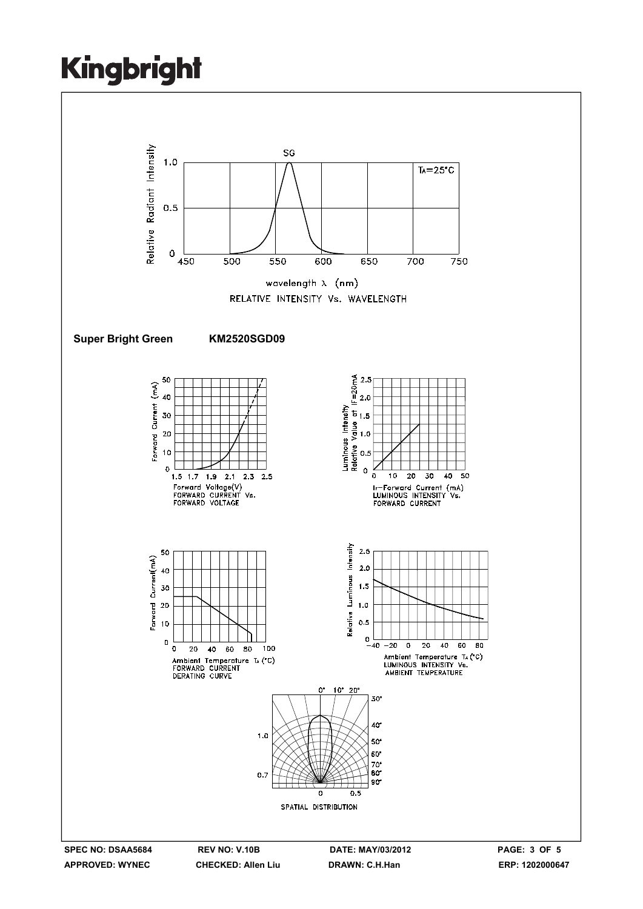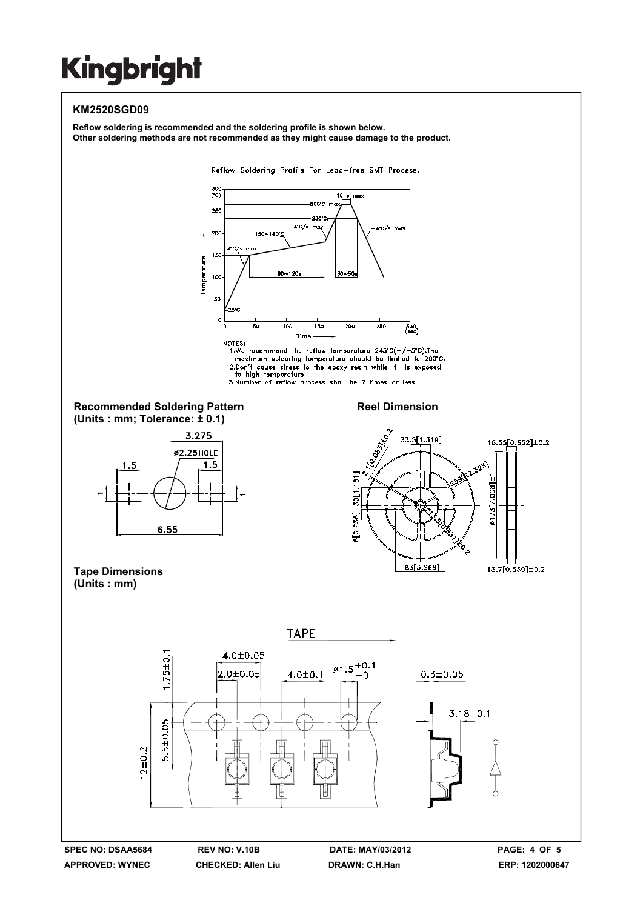### **KM2520SGD09**

**Reflow soldering is recommended and the soldering profile is shown below. Other soldering methods are not recommended as they might cause damage to the product.**